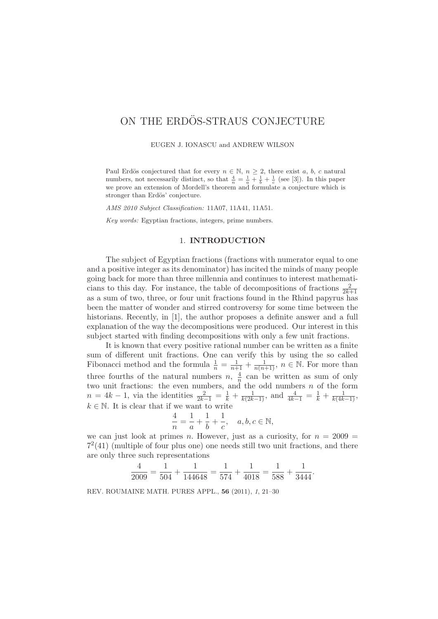# ON THE ERDOS-STRAUS CONJECTURE

EUGEN J. IONASCU and ANDREW WILSON

Paul Erdös conjectured that for every  $n \in \mathbb{N}$ ,  $n \geq 2$ , there exist a, b, c natural numbers, not necessarily distinct, so that  $\frac{4}{n} = \frac{1}{a} + \frac{1}{b} + \frac{1}{c}$  (see [3]). In this paper we prove an extension of Mordell's theorem and formulate a conjecture which is stronger than Erdös' conjecture.

AMS 2010 Subject Classification: 11A07, 11A41, 11A51.

Key words: Egyptian fractions, integers, prime numbers.

## 1. **INTRODUCTION**

The subject of Egyptian fractions (fractions with numerator equal to one and a positive integer as its denominator) has incited the minds of many people going back for more than three millennia and continues to interest mathematicians to this day. For instance, the table of decompositions of fractions  $\frac{2}{2k+1}$ as a sum of two, three, or four unit fractions found in the Rhind papyrus has been the matter of wonder and stirred controversy for some time between the historians. Recently, in [1], the author proposes a definite answer and a full explanation of the way the decompositions were produced. Our interest in this subject started with finding decompositions with only a few unit fractions.

It is known that every positive rational number can be written as a finite sum of different unit fractions. One can verify this by using the so called Fibonacci method and the formula  $\frac{1}{n} = \frac{1}{n+1} + \frac{1}{n(n+1)}$ ,  $n \in \mathbb{N}$ . For more than three fourths of the natural numbers  $n, \frac{4}{n}$  can be written as sum of only two unit fractions: the even numbers, and the odd numbers n of the form  $n = 4k - 1$ , via the identities  $\frac{2}{2k-1} = \frac{1}{k} + \frac{1}{k(2k-1)}$ , and  $\frac{4}{4k-1} = \frac{1}{k} + \frac{1}{k(4k-1)}$ ,  $k \in \mathbb{N}$ . It is clear that if we want to write

$$
\frac{4}{n} = \frac{1}{a} + \frac{1}{b} + \frac{1}{c}, \quad a, b, c \in \mathbb{N},
$$

we can just look at primes n. However, just as a curiosity, for  $n = 2009$  =  $7<sup>2</sup>(41)$  (multiple of four plus one) one needs still two unit fractions, and there are only three such representations

$$
\frac{4}{2009} = \frac{1}{504} + \frac{1}{144648} = \frac{1}{574} + \frac{1}{4018} = \frac{1}{588} + \frac{1}{3444}.
$$

REV. ROUMAINE MATH. PURES APPL., **56** (2011), 1, 21–30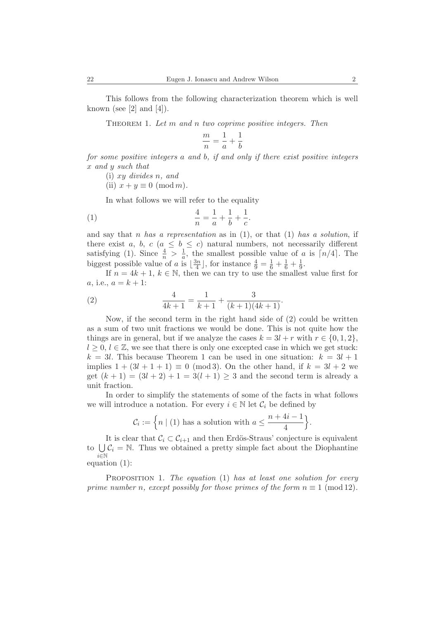This follows from the following characterization theorem which is well known (see  $[2]$  and  $[4]$ ).

THEOREM 1. Let m and n two coprime positive integers. Then

$$
\frac{m}{n} = \frac{1}{a} + \frac{1}{b}
$$

for some positive integers a and b, if and only if there exist positive integers x and y such that

(i) xy divides n, and

(ii)  $x + y \equiv 0 \pmod{m}$ .

In what follows we will refer to the equality

(1) 
$$
\frac{4}{n} = \frac{1}{a} + \frac{1}{b} + \frac{1}{c}.
$$

and say that n has a representation as in  $(1)$ , or that  $(1)$  has a solution, if there exist a, b, c ( $a \leq b \leq c$ ) natural numbers, not necessarily different satisfying (1). Since  $\frac{4}{n} > \frac{1}{a}$ , the smallest possible value of a is  $\lceil n/4 \rceil$ . The biggest possible value of a is  $\lfloor \frac{3n}{4} \rfloor$ , for instance  $\frac{4}{9} = \frac{1}{6} + \frac{1}{6} + \frac{1}{9}$ .

If  $n = 4k + 1, k \in \mathbb{N}$ , then we can try to use the smallest value first for a, i.e.,  $a = k + 1$ :

(2) 
$$
\frac{4}{4k+1} = \frac{1}{k+1} + \frac{3}{(k+1)(4k+1)}.
$$

Now, if the second term in the right hand side of (2) could be written as a sum of two unit fractions we would be done. This is not quite how the things are in general, but if we analyze the cases  $k = 3l + r$  with  $r \in \{0, 1, 2\}$ ,  $l \geq 0, l \in \mathbb{Z}$ , we see that there is only one excepted case in which we get stuck:  $k = 3l$ . This because Theorem 1 can be used in one situation:  $k = 3l + 1$ implies  $1 + (3l + 1 + 1) \equiv 0 \pmod{3}$ . On the other hand, if  $k = 3l + 2$  we get  $(k + 1) = (3l + 2) + 1 = 3(l + 1) \ge 3$  and the second term is already a unit fraction.

In order to simplify the statements of some of the facts in what follows we will introduce a notation. For every  $i \in \mathbb{N}$  let  $\mathcal{C}_i$  be defined by

$$
\mathcal{C}_i := \left\{ n \mid (1) \text{ has a solution with } a \leq \frac{n+4i-1}{4} \right\}.
$$

It is clear that  $C_i \subset C_{i+1}$  and then Erdös-Straus' conjecture is equivalent to  $\bigcup \mathcal{C}_i = \mathbb{N}$ . Thus we obtained a pretty simple fact about the Diophantine  $i \in \mathbb{N}$ equation (1):

PROPOSITION 1. The equation  $(1)$  has at least one solution for every prime number n, except possibly for those primes of the form  $n \equiv 1 \pmod{12}$ .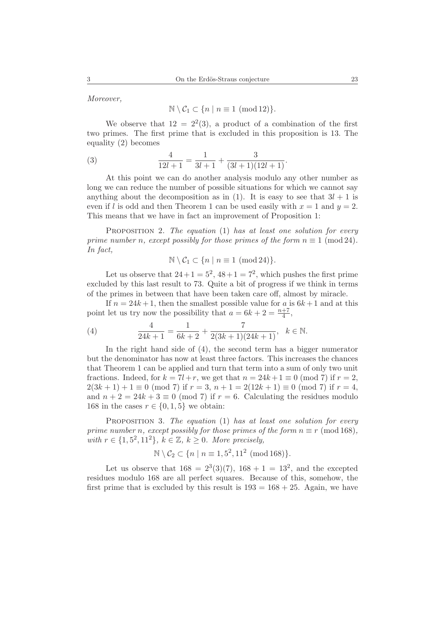Moreover,

$$
\mathbb{N} \setminus C_1 \subset \{n \mid n \equiv 1 \pmod{12}\}.
$$

We observe that  $12 = 2^2(3)$ , a product of a combination of the first two primes. The first prime that is excluded in this proposition is 13. The equality (2) becomes

(3) 
$$
\frac{4}{12l+1} = \frac{1}{3l+1} + \frac{3}{(3l+1)(12l+1)}.
$$

At this point we can do another analysis modulo any other number as long we can reduce the number of possible situations for which we cannot say anything about the decomposition as in (1). It is easy to see that  $3l + 1$  is even if l is odd and then Theorem 1 can be used easily with  $x = 1$  and  $y = 2$ . This means that we have in fact an improvement of Proposition 1:

PROPOSITION 2. The equation (1) has at least one solution for every prime number n, except possibly for those primes of the form  $n \equiv 1 \pmod{24}$ . In fact,

$$
\mathbb{N} \setminus C_1 \subset \{n \mid n \equiv 1 \pmod{24}\}.
$$

Let us observe that  $24+1=5^2$ ,  $48+1=7^2$ , which pushes the first prime excluded by this last result to 73. Quite a bit of progress if we think in terms of the primes in between that have been taken care off, almost by miracle.

If  $n = 24k + 1$ , then the smallest possible value for a is  $6k + 1$  and at this point let us try now the possibility that  $a = 6k + 2 = \frac{n+7}{4}$ ,

(4) 
$$
\frac{4}{24k+1} = \frac{1}{6k+2} + \frac{7}{2(3k+1)(24k+1)}, \quad k \in \mathbb{N}.
$$

In the right hand side of (4), the second term has a bigger numerator but the denominator has now at least three factors. This increases the chances that Theorem 1 can be applied and turn that term into a sum of only two unit fractions. Indeed, for  $k = 7l + r$ , we get that  $n = 24k + 1 \equiv 0 \pmod{7}$  if  $r = 2$ ,  $2(3k+1)+1 \equiv 0 \pmod{7}$  if  $r=3$ ,  $n+1=2(12k+1) \equiv 0 \pmod{7}$  if  $r=4$ , and  $n + 2 = 24k + 3 \equiv 0 \pmod{7}$  if  $r = 6$ . Calculating the residues modulo 168 in the cases  $r \in \{0, 1, 5\}$  we obtain:

PROPOSITION 3. The equation (1) has at least one solution for every prime number n, except possibly for those primes of the form  $n \equiv r \pmod{168}$ , with  $r \in \{1, 5^2, 11^2\}, k \in \mathbb{Z}, k \geq 0$ . More precisely,

$$
\mathbb{N} \setminus C_2 \subset \{n \mid n \equiv 1, 5^2, 11^2 \pmod{168}\}.
$$

Let us observe that  $168 = 2^3(3)(7)$ ,  $168 + 1 = 13^2$ , and the excepted residues modulo 168 are all perfect squares. Because of this, somehow, the first prime that is excluded by this result is  $193 = 168 + 25$ . Again, we have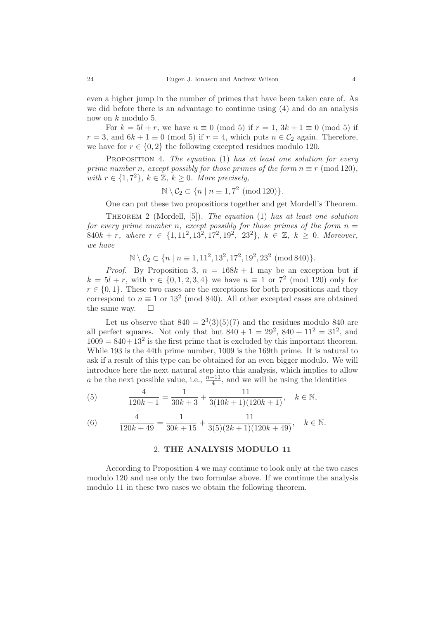even a higher jump in the number of primes that have been taken care of. As we did before there is an advantage to continue using (4) and do an analysis now on k modulo 5.

For  $k = 5l + r$ , we have  $n \equiv 0 \pmod{5}$  if  $r = 1, 3k + 1 \equiv 0 \pmod{5}$  if  $r = 3$ , and  $6k + 1 \equiv 0 \pmod{5}$  if  $r = 4$ , which puts  $n \in C_2$  again. Therefore, we have for  $r \in \{0, 2\}$  the following excepted residues modulo 120.

PROPOSITION 4. The equation  $(1)$  has at least one solution for every prime number n, except possibly for those primes of the form  $n \equiv r \pmod{120}$ , with  $r \in \{1, 7^2\}, k \in \mathbb{Z}, k \geq 0$ . More precisely,

$$
\mathbb{N} \setminus C_2 \subset \{n \mid n \equiv 1, 7^2 \pmod{120}\}.
$$

One can put these two propositions together and get Mordell's Theorem.

THEOREM 2 (Mordell,  $[5]$ ). The equation (1) has at least one solution for every prime number n, except possibly for those primes of the form  $n =$ 840k + r, where  $r \in \{1, 11^2, 13^2, 17^2, 19^2, 23^2\}$ ,  $k \in \mathbb{Z}$ ,  $k \geq 0$ . Moreover, we have

$$
\mathbb{N} \setminus C_2 \subset \{n \mid n \equiv 1, 11^2, 13^2, 17^2, 19^2, 23^2 \pmod{840}\}.
$$

*Proof.* By Proposition 3,  $n = 168k + 1$  may be an exception but if  $k = 5l + r$ , with  $r \in \{0, 1, 2, 3, 4\}$  we have  $n \equiv 1$  or  $7^2$  (mod 120) only for  $r \in \{0, 1\}$ . These two cases are the exceptions for both propositions and they correspond to  $n \equiv 1$  or  $13^2$  (mod 840). All other excepted cases are obtained the same way.  $\square$ 

Let us observe that  $840 = 2^3(3)(5)(7)$  and the residues modulo 840 are all perfect squares. Not only that but  $840 + 1 = 29^2$ ,  $840 + 11^2 = 31^2$ , and  $1009 = 840 + 13^2$  is the first prime that is excluded by this important theorem. While 193 is the 44th prime number, 1009 is the 169th prime. It is natural to ask if a result of this type can be obtained for an even bigger modulo. We will introduce here the next natural step into this analysis, which implies to allow a be the next possible value, i.e.,  $\frac{n+11}{4}$ , and we will be using the identities

(5) 
$$
\frac{4}{120k+1} = \frac{1}{30k+3} + \frac{11}{3(10k+1)(120k+1)}, \quad k \in \mathbb{N},
$$

(6) 
$$
\frac{4}{120k+49} = \frac{1}{30k+15} + \frac{11}{3(5)(2k+1)(120k+49)}, \quad k \in \mathbb{N}.
$$

### 2. **THE ANALYSIS MODULO 11**

According to Proposition 4 we may continue to look only at the two cases modulo 120 and use only the two formulae above. If we continue the analysis modulo 11 in these two cases we obtain the following theorem.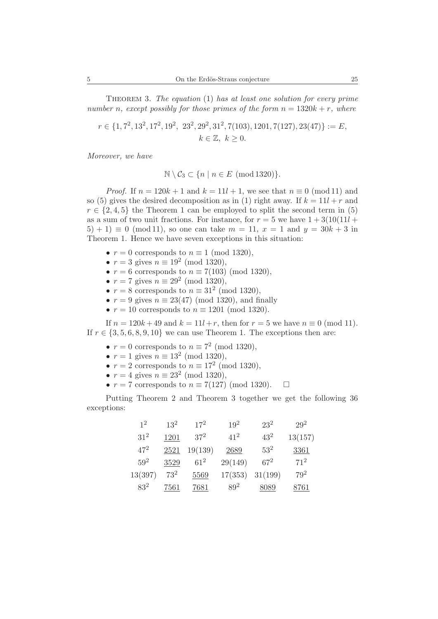THEOREM 3. The equation  $(1)$  has at least one solution for every prime number n, except possibly for those primes of the form  $n = 1320k + r$ , where

$$
r \in \{1, 7^2, 13^2, 17^2, 19^2, 23^2, 29^2, 31^2, 7(103), 1201, 7(127), 23(47)\} := E,
$$
  

$$
k \in \mathbb{Z}, k \ge 0.
$$

Moreover, we have

$$
\mathbb{N} \setminus C_3 \subset \{ n \mid n \in E \pmod{1320} \}.
$$

*Proof.* If  $n = 120k + 1$  and  $k = 11l + 1$ , we see that  $n \equiv 0 \pmod{11}$  and so (5) gives the desired decomposition as in (1) right away. If  $k = 11l + r$  and  $r \in \{2, 4, 5\}$  the Theorem 1 can be employed to split the second term in (5) as a sum of two unit fractions. For instance, for  $r = 5$  we have  $1 + 3(10(11l +$  $(5) + 1 \equiv 0 \pmod{11}$ , so one can take  $m = 11$ ,  $x = 1$  and  $y = 30k + 3$  in Theorem 1. Hence we have seven exceptions in this situation:

- $r = 0$  corresponds to  $n \equiv 1 \pmod{1320}$ ,
- $r = 3$  gives  $n \equiv 19^2 \pmod{1320}$ ,
- $r = 6$  corresponds to  $n \equiv 7(103)$  (mod 1320),
- $r = 7$  gives  $n \equiv 29^2 \pmod{1320}$ ,
- $r = 8$  corresponds to  $n \equiv 31^2 \pmod{1320}$ ,
- $r = 9$  gives  $n \equiv 23(47)$  (mod 1320), and finally
- $r = 10$  corresponds to  $n \equiv 1201 \pmod{1320}$ .

If  $n = 120k + 49$  and  $k = 11l + r$ , then for  $r = 5$  we have  $n \equiv 0 \pmod{11}$ . If  $r \in \{3, 5, 6, 8, 9, 10\}$  we can use Theorem 1. The exceptions then are:

- $r = 0$  corresponds to  $n \equiv 7^2 \pmod{1320}$ ,
- $r = 1$  gives  $n \equiv 13^2 \pmod{1320}$ ,
- $r = 2$  corresponds to  $n \equiv 17^2 \pmod{1320}$ ,
- $r = 4$  gives  $n \equiv 23^2 \pmod{1320}$ ,
- $r = 7$  corresponds to  $n \equiv 7(127)$  (mod 1320).  $\Box$

Putting Theorem 2 and Theorem 3 together we get the following 36 exceptions:

| 1 <sup>2</sup> | $13^{2}$ | $17^{2}$ | $19^{2}$ | $23^2$  | $29^2$  |
|----------------|----------|----------|----------|---------|---------|
| $31^2$         | 1201     | $37^2$   | $41^{2}$ | $43^2$  | 13(157) |
| $47^{2}$       | 2521     | 19(139)  | 2689     | $53^2$  | 3361    |
| $59^{2}$       | 3529     | $61^2$   | 29(149)  | $67^2$  | $71^2$  |
| 13(397)        | $73^2$   | 5569     | 17(353)  | 31(199) | $79^2$  |
| $83^2$         | 7561     | 7681     | $89^2$   | 8089    | 8761    |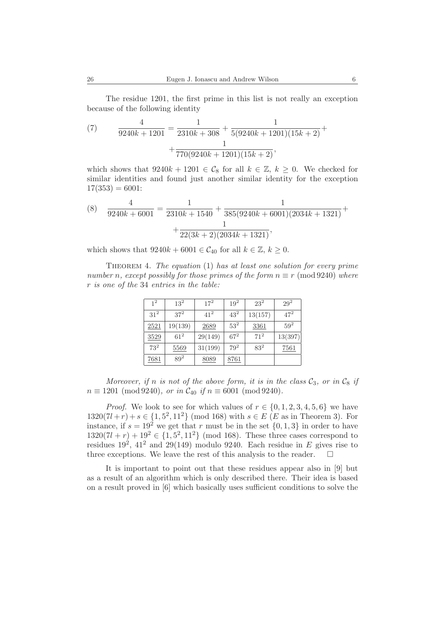The residue 1201, the first prime in this list is not really an exception because of the following identity

(7) 
$$
\frac{4}{9240k+1201} = \frac{1}{2310k+308} + \frac{1}{5(9240k+1201)(15k+2)} + \frac{1}{770(9240k+1201)(15k+2)},
$$

which shows that  $9240k + 1201 \in C_8$  for all  $k \in \mathbb{Z}$ ,  $k \geq 0$ . We checked for similar identities and found just another similar identity for the exception  $17(353) = 6001$ :

(8) 
$$
\frac{4}{9240k + 6001} = \frac{1}{2310k + 1540} + \frac{1}{385(9240k + 6001)(2034k + 1321)} + \frac{1}{22(3k + 2)(2034k + 1321)},
$$

which shows that  $9240k + 6001 \in C_{40}$  for all  $k \in \mathbb{Z}, k \geq 0$ .

THEOREM 4. The equation  $(1)$  has at least one solution for every prime number n, except possibly for those primes of the form  $n \equiv r \pmod{9240}$  where r is one of the 34 entries in the table:

| $1^2$  | $13^{2}$ | $17^{2}$ | $19^{2}$ | $23^2$   | $29^2$   |
|--------|----------|----------|----------|----------|----------|
| $31^2$ | $37^2$   | $41^{2}$ | $43^2$   | 13(157)  | $47^{2}$ |
| 2521   | 19(139)  | 2689     | $53^2$   | 3361     | $59^2$   |
| 3529   | $61^2$   | 29(149)  | $67^{2}$ | $71^{2}$ | 13(397)  |
| $73^2$ | 5569     | 31(199)  | $79^2$   | $83^2$   | 7561     |
| 7681   | $89^{2}$ | 8089     | 8761     |          |          |

Moreover, if n is not of the above form, it is in the class  $C_3$ , or in  $C_8$  if  $n \equiv 1201 \pmod{9240}$ , or in  $C_{40}$  if  $n \equiv 6001 \pmod{9240}$ .

*Proof.* We look to see for which values of  $r \in \{0, 1, 2, 3, 4, 5, 6\}$  we have  $1320(7l + r) + s \in \{1, 5^2, 11^2\}$  (mod 168) with  $s \in E$  (*E* as in Theorem 3). For instance, if  $s = 19^2$  we get that r must be in the set  $\{0, 1, 3\}$  in order to have  $1320(7l + r) + 19^2 \in \{1, 5^2, 11^2\}$  (mod 168). These three cases correspond to residues  $19^2$ ,  $41^2$  and  $29(149)$  modulo 9240. Each residue in E gives rise to three exceptions. We leave the rest of this analysis to the reader.  $\Box$ 

It is important to point out that these residues appear also in [9] but as a result of an algorithm which is only described there. Their idea is based on a result proved in [6] which basically uses sufficient conditions to solve the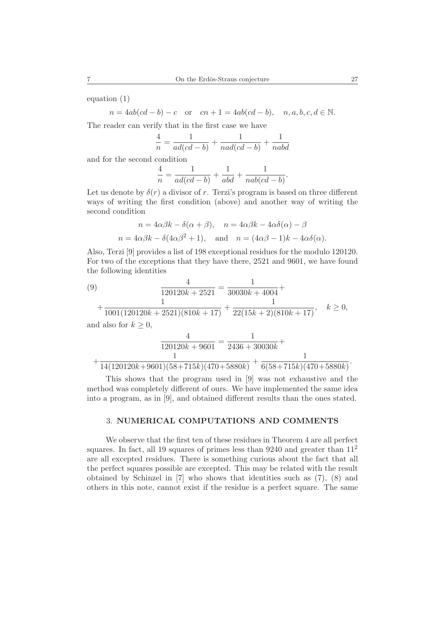equation (1)

 $n = 4ab(cd - b) - c$  or  $cn + 1 = 4ab(cd - b)$ ,  $n, a, b, c, d \in \mathbb{N}$ .

The reader can verify that in the first case we have

$$
\frac{4}{n} = \frac{1}{ad(cd-b)} + \frac{1}{nad(cd-b)} + \frac{1}{nabd}
$$

and for the second condition

$$
\frac{4}{n} = \frac{1}{ad(cd-b)} + \frac{1}{abd} + \frac{1}{nab(cd-b)}.
$$

Let us denote by  $\delta(r)$  a divisor of r. Terzi's program is based on three different ways of writing the first condition (above) and another way of writing the second condition

$$
n = 4\alpha\beta k - \delta(\alpha + \beta), \quad n = 4\alpha\beta k - 4\alpha\delta(\alpha) - \beta
$$
  

$$
n = 4\alpha\beta k - \delta(4\alpha\beta^{2} + 1), \quad \text{and} \quad n = (4\alpha\beta - 1)k - 4\alpha\delta(\alpha).
$$

Also, Terzi [9] provides a list of 198 exceptional residues for the modulo 120120. For two of the exceptions that they have there, 2521 and 9601, we have found the following identities

(9) 
$$
\frac{4}{120120k + 2521} = \frac{1}{30030k + 4004} + \frac{1}{1001(120120k + 2521)(810k + 17)} + \frac{1}{22(15k + 2)(810k + 17)}, \quad k \ge 0,
$$
and also for  $k \ge 0$ ,

$$
\frac{4}{120120k + 9601} = \frac{1}{2436 + 30030k} + \frac{1}{14(120120k + 9601)(58 + 715k)(470 + 5880k)} + \frac{1}{6(58 + 715k)(470 + 5880k)}.
$$

This shows that the program used in [9] was not exhaustive and the method was completely different of ours. We have implemented the same idea into a program, as in [9], and obtained different results than the ones stated.

#### 3. **NUMERICAL COMPUTATIONS AND COMMENTS**

We observe that the first ten of these residues in Theorem 4 are all perfect squares. In fact, all 19 squares of primes less than  $9240$  and greater than  $11<sup>2</sup>$ are all excepted residues. There is something curious about the fact that all the perfect squares possible are excepted. This may be related with the result obtained by Schinzel in [7] who shows that identities such as (7), (8) and others in this note, cannot exist if the residue is a perfect square. The same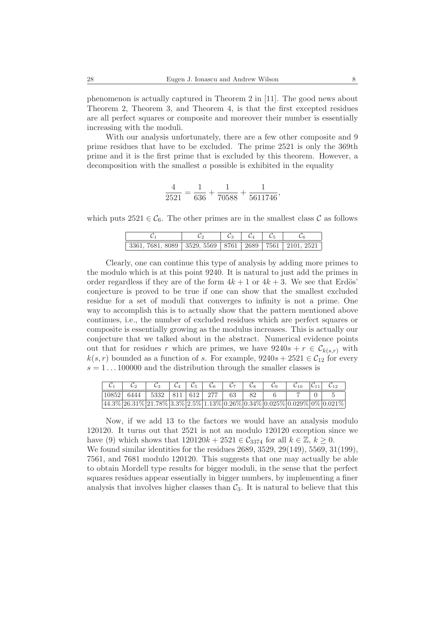phenomenon is actually captured in Theorem 2 in [11]. The good news about Theorem 2, Theorem 3, and Theorem 4, is that the first excepted residues are all perfect squares or composite and moreover their number is essentially increasing with the moduli.

With our analysis unfortunately, there are a few other composite and 9 prime residues that have to be excluded. The prime 2521 is only the 369th prime and it is the first prime that is excluded by this theorem. However, a decomposition with the smallest a possible is exhibited in the equality

$$
\frac{4}{2521} = \frac{1}{636} + \frac{1}{70588} + \frac{1}{5611746},
$$

which puts  $2521 \in C_6$ . The other primes are in the smallest class C as follows

|                                                                             |  | $\mathcal{C}_3$ $\mathcal{C}_4$ $\mathcal{C}_5$ |  |  |
|-----------------------------------------------------------------------------|--|-------------------------------------------------|--|--|
| $3361, 7681, 8089$   $3529, 5569$   $8761$   $2689$   $7561$   $2101, 2521$ |  |                                                 |  |  |

Clearly, one can continue this type of analysis by adding more primes to the modulo which is at this point 9240. It is natural to just add the primes in order regardless if they are of the form  $4k + 1$  or  $4k + 3$ . We see that Erdös' conjecture is proved to be true if one can show that the smallest excluded residue for a set of moduli that converges to infinity is not a prime. One way to accomplish this is to actually show that the pattern mentioned above continues, i.e., the number of excluded residues which are perfect squares or composite is essentially growing as the modulus increases. This is actually our conjecture that we talked about in the abstract. Numerical evidence points out that for residues r which are primes, we have  $9240s + r \in \mathcal{C}_{k(s,r)}$  with  $k(s, r)$  bounded as a function of s. For example,  $9240s + 2521 \in C_{12}$  for every  $s = 1 \dots 100000$  and the distribution through the smaller classes is

| $\mathcal{C}_2$                                                            |  |  | $\mathcal{C}_3$   $\mathcal{C}_4$   $\mathcal{C}_5$   $\mathcal{C}_6$   $\mathcal{C}_7$   $\mathcal{C}_8$ |  | $\mathcal{C}_9$   $\mathcal{C}_{10}$   $\mathcal{C}_{11}$   $\mathcal{C}_{12}$ |  |
|----------------------------------------------------------------------------|--|--|-----------------------------------------------------------------------------------------------------------|--|--------------------------------------------------------------------------------|--|
| $ 10852 $ 6444   5332   811   612   277   63   82                          |  |  |                                                                                                           |  |                                                                                |  |
| $44.3\%$ 26.31% 21.78% 3.3% 2.5% 1.13% 0.26% 0.34% 0.025% 0.029% 0% 0.021% |  |  |                                                                                                           |  |                                                                                |  |

Now, if we add 13 to the factors we would have an analysis modulo 120120. It turns out that 2521 is not an modulo 120120 exception since we have (9) which shows that  $120120k + 2521 \in C_{3374}$  for all  $k \in \mathbb{Z}$ ,  $k \geq 0$ .

We found similar identities for the residues 2689, 3529, 29(149), 5569, 31(199), 7561, and 7681 modulo 120120. This suggests that one may actually be able to obtain Mordell type results for bigger moduli, in the sense that the perfect squares residues appear essentially in bigger numbers, by implementing a finer analysis that involves higher classes than  $\mathcal{C}_3$ . It is natural to believe that this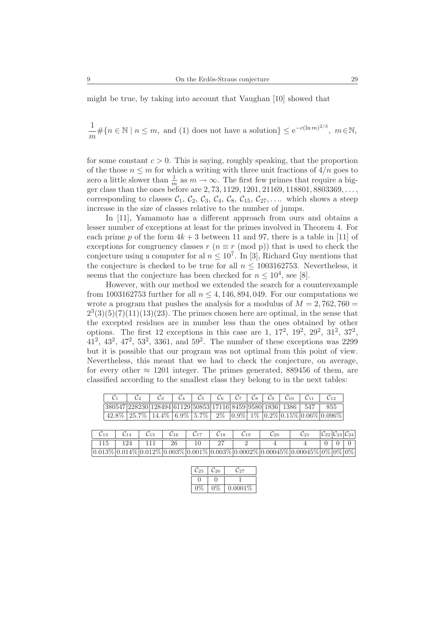might be true, by taking into account that Vaughan [10] showed that

1  $\frac{1}{m}\#\{n \in \mathbb{N} \mid n \leq m, \text{ and } (1) \text{ does not have a solution}\}\leq e^{-c(\ln m)^{2/3}}, m \in \mathbb{N},$ 

for some constant  $c > 0$ . This is saying, roughly speaking, that the proportion of the those  $n \leq m$  for which a writing with three unit fractions of  $4/n$  goes to zero a little slower than  $\frac{1}{m}$  as  $m \to \infty$ . The first few primes that require a bigger class than the ones before are  $2, 73, 1129, 1201, 21169, 118801, 8803369, \ldots$ corresponding to classes  $C_1$ ,  $C_2$ ,  $C_3$ ,  $C_4$ ,  $C_8$ ,  $C_{15}$ ,  $C_{27}$ ,.... which shows a steep increase in the size of classes relative to the number of jumps.

In [11], Yamamoto has a different approach from ours and obtains a lesser number of exceptions at least for the primes involved in Theorem 4. For each prime p of the form  $4k + 3$  between 11 and 97, there is a table in [11] of exceptions for congruency classes r  $(n \equiv r \pmod{p})$  that is used to check the conjecture using a computer for al  $n \leq 10^7$ . In [3], Richard Guy mentions that the conjecture is checked to be true for all  $n \leq 1003162753$ . Nevertheless, it seems that the conjecture has been checked for  $n \leq 10^4$ , see [8].

However, with our method we extended the search for a counterexample from 1003162753 further for all  $n \leq 4,146,894,049$ . For our computations we wrote a program that pushes the analysis for a modulus of  $M = 2,762,760 =$  $2^{3}(3)(5)(7)(11)(13)(23)$ . The primes chosen here are optimal, in the sense that the excepted residues are in number less than the ones obtained by other options. The first 12 exceptions in this case are 1,  $17^2$ ,  $19^2$ ,  $29^2$ ,  $31^2$ ,  $37^2$ .  $41^2$ ,  $43^2$ ,  $47^2$ ,  $53^2$ ,  $3361$ , and  $59^2$ . The number of these exceptions was 2299 but it is possible that our program was not optimal from this point of view. Nevertheless, this meant that we had to check the conjecture, on average, for every other  $\approx 1201$  integer. The primes generated, 889456 of them, are classified according to the smallest class they belong to in the next tables:

|                                                                    | $\mathcal{C}_2$   $\mathcal{C}_3$   $\mathcal{C}_4$   $\mathcal{C}_5$   $\mathcal{C}_6$   $\mathcal{C}_7$   $\mathcal{C}_8$   $\mathcal{C}_9$   $\mathcal{C}_{10}$   $\mathcal{C}_{11}$   $\mathcal{C}_{12}$ |  |  |  |  |                                                                   |
|--------------------------------------------------------------------|--------------------------------------------------------------------------------------------------------------------------------------------------------------------------------------------------------------|--|--|--|--|-------------------------------------------------------------------|
| 380547 228230 128494 61129 50853 17116 8459 9580 1836 1386 547 855 |                                                                                                                                                                                                              |  |  |  |  |                                                                   |
|                                                                    |                                                                                                                                                                                                              |  |  |  |  | $42.8\%$ 25.7% 14.4% 6.9% 5.7% 2% 0.9% 1% 0.2% 0.15% 0.06% 0.096% |

|  |  |  |  | $\boxed{0.013\% \boxed{0.014\%} \boxed{0.012\%} \boxed{0.003\%} \boxed{0.001\%} \boxed{0.003\%} \boxed{0.0002\%} \boxed{0.00045\%} \boxed{0.00045\%} \boxed{0\%} \boxed{0\%} \boxed{0\%}$ |  |  |
|--|--|--|--|-------------------------------------------------------------------------------------------------------------------------------------------------------------------------------------------|--|--|

| - 25 | $\mathcal{C}_{26}$ | $\mathcal{L}_{27}$ |
|------|--------------------|--------------------|
|      |                    |                    |
|      |                    | $0.0001\%$         |